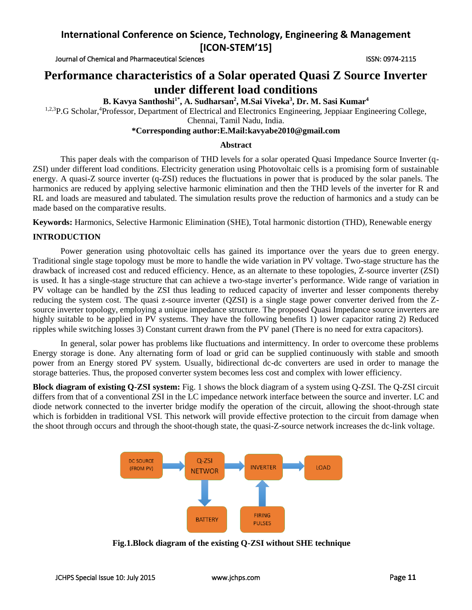Journal of Chemical and Pharmaceutical Sciences **ISSN: 0974-2115** ISSN: 0974-2115

# **Performance characteristics of a Solar operated Quasi Z Source Inverter under different load conditions**

# **B. Kavya Santhoshi1\* , A. Sudharsan<sup>2</sup> , M.Sai Viveka<sup>3</sup> , Dr. M. Sasi Kumar<sup>4</sup>**

<sup>1,2,3</sup>P.G Scholar,<sup>4</sup>Professor, Department of Electrical and Electronics Engineering, Jeppiaar Engineering College,

Chennai, Tamil Nadu, India.

## **\*Corresponding author:E.Mail:kavyabe2010@gmail.com**

## **Abstract**

This paper deals with the comparison of THD levels for a solar operated Quasi Impedance Source Inverter (q-ZSI) under different load conditions. Electricity generation using Photovoltaic cells is a promising form of sustainable energy. A quasi-Z source inverter (q-ZSI) reduces the fluctuations in power that is produced by the solar panels. The harmonics are reduced by applying selective harmonic elimination and then the THD levels of the inverter for R and RL and loads are measured and tabulated. The simulation results prove the reduction of harmonics and a study can be made based on the comparative results.

**Keywords:** Harmonics, Selective Harmonic Elimination (SHE), Total harmonic distortion (THD), Renewable energy

## **INTRODUCTION**

Power generation using photovoltaic cells has gained its importance over the years due to green energy. Traditional single stage topology must be more to handle the wide variation in PV voltage. Two-stage structure has the drawback of increased cost and reduced efficiency. Hence, as an alternate to these topologies, Z-source inverter (ZSI) is used. It has a single-stage structure that can achieve a two-stage inverter's performance. Wide range of variation in PV voltage can be handled by the ZSI thus leading to reduced capacity of inverter and lesser components thereby reducing the system cost. The quasi z-source inverter (QZSI) is a single stage power converter derived from the Zsource inverter topology, employing a unique impedance structure. The proposed Quasi Impedance source inverters are highly suitable to be applied in PV systems. They have the following benefits 1) lower capacitor rating 2) Reduced ripples while switching losses 3) Constant current drawn from the PV panel (There is no need for extra capacitors).

In general, solar power has problems like fluctuations and intermittency. In order to overcome these problems Energy storage is done. Any alternating form of load or grid can be supplied continuously with stable and smooth power from an Energy stored PV system. Usually, bidirectional dc-dc converters are used in order to manage the storage batteries. Thus, the proposed converter system becomes less cost and complex with lower efficiency.

**Block diagram of existing Q-ZSI system:** Fig. 1 shows the block diagram of a system using Q-ZSI. The Q-ZSI circuit differs from that of a conventional ZSI in the LC impedance network interface between the source and inverter. LC and diode network connected to the inverter bridge modify the operation of the circuit, allowing the shoot-through state which is forbidden in traditional VSI. This network will provide effective protection to the circuit from damage when the shoot through occurs and through the shoot-though state, the quasi-Z-source network increases the dc-link voltage.



**Fig.1.Block diagram of the existing Q-ZSI without SHE technique**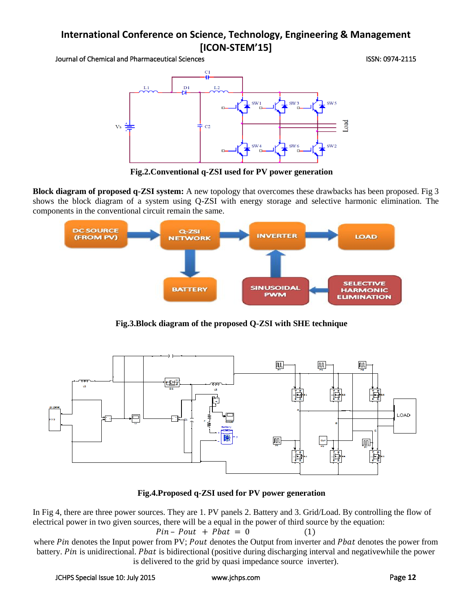Journal of Chemical and Pharmaceutical Sciences ISSN: 0974-2115



**Fig.2.Conventional q-ZSI used for PV power generation**

**Block diagram of proposed q-ZSI system:** A new topology that overcomes these drawbacks has been proposed. Fig 3 shows the block diagram of a system using Q-ZSI with energy storage and selective harmonic elimination. The components in the conventional circuit remain the same.



**Fig.3.Block diagram of the proposed Q-ZSI with SHE technique**



**Fig.4.Proposed q-ZSI used for PV power generation**

In Fig 4, there are three power sources. They are 1. PV panels 2. Battery and 3. Grid/Load. By controlling the flow of electrical power in two given sources, there will be a equal in the power of third source by the equation:

$$
Pin - Pout + Pbat = 0 \qquad (1)
$$

where Pin denotes the Input power from PV; Pout denotes the Output from inverter and Pbat denotes the power from battery. Pin is unidirectional. Phat is bidirectional (positive during discharging interval and negativewhile the power is delivered to the grid by quasi impedance source inverter).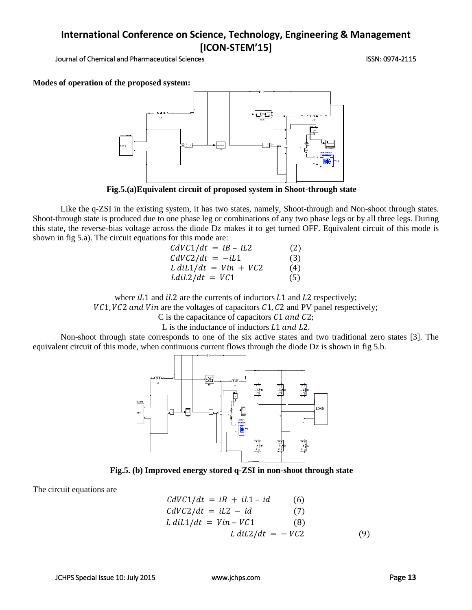Journal of Chemical and Pharmaceutical Sciences **ISSN: 0974-2115** ISSN: 0974-2115

**Modes of operation of the proposed system:**



**Fig.5.(a)Equivalent circuit of proposed system in Shoot-through state**

Like the q-ZSI in the existing system, it has two states, namely, Shoot-through and Non-shoot through states. Shoot-through state is produced due to one phase leg or combinations of any two phase legs or by all three legs. During this state, the reverse-bias voltage across the diode Dz makes it to get turned OFF. Equivalent circuit of this mode is shown in fig 5.a). The circuit equations for this mode are:

| $CdVC1/dt = iB - iL2$          | (2) |
|--------------------------------|-----|
| $CdVC2/dt = -iL1$              | (3) |
| $L \frac{diL}{dt} = Vin + VC2$ | (4) |
| $LdL2/dt = VC1$                | (5) |

where  $iL1$  and  $iL2$  are the currents of inductors  $L1$  and  $L2$  respectively;

 $VC1, VC2$  and Vin are the voltages of capacitors  $C1, C2$  and PV panel respectively;

C is the capacitance of capacitors  $C1$  and  $C2$ ;

L is the inductance of inductors  $L1$  and  $L2$ .

Non-shoot through state corresponds to one of the six active states and two traditional zero states [3]. The equivalent circuit of this mode, when continuous current flows through the diode Dz is shown in fig 5.b.



**Fig.5. (b) Improved energy stored q-ZSI in non-shoot through state**

The circuit equations are

$$
CdVC1/dt = iB + iL1 - id
$$
 (6)  
\n
$$
CdVC2/dt = iL2 - id
$$
 (7)  
\n
$$
L \frac{diL1}{dt} = \frac{Vin - VC1}{L \frac{diL2}{dt}} = -\frac{VC2}{t}
$$
 (9)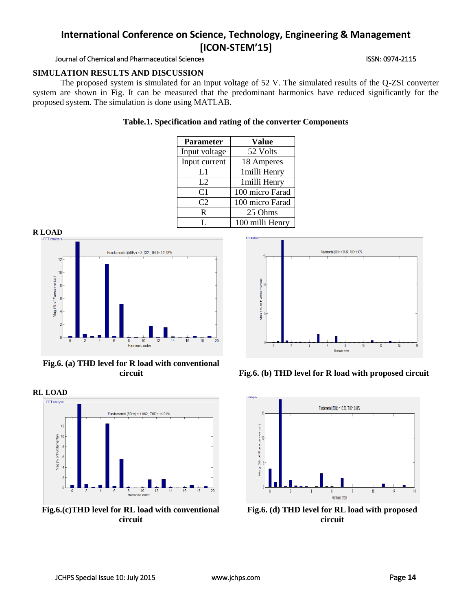# Journal of Chemical and Pharmaceutical Sciences **ISSN: 0974-2115** ISSN: 0974-2115

# **SIMULATION RESULTS AND DISCUSSION**

The proposed system is simulated for an input voltage of 52 V. The simulated results of the Q-ZSI converter system are shown in Fig. It can be measured that the predominant harmonics have reduced significantly for the proposed system. The simulation is done using MATLAB.

## **Table.1. Specification and rating of the converter Components**

| <b>Parameter</b> | <b>Value</b>    |
|------------------|-----------------|
| Input voltage    | 52 Volts        |
| Input current    | 18 Amperes      |
| L1               | 1milli Henry    |
| L2               | 1 milli Henry   |
| C <sub>1</sub>   | 100 micro Farad |
| C <sub>2</sub>   | 100 micro Farad |
| R                | 25 Ohms         |
|                  | 100 milli Henry |



**Fig.6. (a) THD level for R load with conventional** 



**Fig.6.(c)THD level for RL load with conventional circuit**



**circuit Fig.6. (b) THD level for R load with proposed circuit**



**Fig.6. (d) THD level for RL load with proposed circuit**